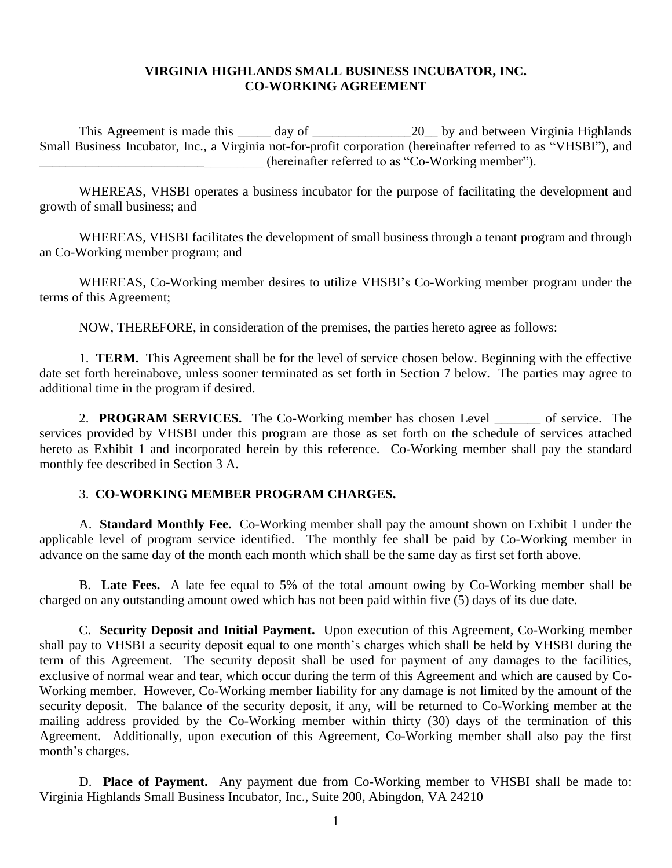#### **VIRGINIA HIGHLANDS SMALL BUSINESS INCUBATOR, INC. CO-WORKING AGREEMENT**

This Agreement is made this \_\_\_\_\_ day of \_\_\_\_\_\_\_\_\_\_\_\_\_\_\_20\_\_ by and between Virginia Highlands Small Business Incubator, Inc., a Virginia not-for-profit corporation (hereinafter referred to as "VHSBI"), and \_\_\_\_\_\_\_\_\_\_\_\_\_\_\_\_\_\_\_\_\_\_\_\_\_\_\_\_\_\_\_\_\_\_ (hereinafter referred to as "Co-Working member").

WHEREAS, VHSBI operates a business incubator for the purpose of facilitating the development and growth of small business; and

WHEREAS, VHSBI facilitates the development of small business through a tenant program and through an Co-Working member program; and

WHEREAS, Co-Working member desires to utilize VHSBI's Co-Working member program under the terms of this Agreement;

NOW, THEREFORE, in consideration of the premises, the parties hereto agree as follows:

1. **TERM.** This Agreement shall be for the level of service chosen below. Beginning with the effective date set forth hereinabove, unless sooner terminated as set forth in Section 7 below. The parties may agree to additional time in the program if desired.

2. **PROGRAM SERVICES.** The Co-Working member has chosen Level of service. The services provided by VHSBI under this program are those as set forth on the schedule of services attached hereto as Exhibit 1 and incorporated herein by this reference. Co-Working member shall pay the standard monthly fee described in Section 3 A.

#### 3. **CO-WORKING MEMBER PROGRAM CHARGES.**

A. **Standard Monthly Fee.** Co-Working member shall pay the amount shown on Exhibit 1 under the applicable level of program service identified. The monthly fee shall be paid by Co-Working member in advance on the same day of the month each month which shall be the same day as first set forth above.

B. **Late Fees.** A late fee equal to 5% of the total amount owing by Co-Working member shall be charged on any outstanding amount owed which has not been paid within five (5) days of its due date.

C. **Security Deposit and Initial Payment.** Upon execution of this Agreement, Co-Working member shall pay to VHSBI a security deposit equal to one month's charges which shall be held by VHSBI during the term of this Agreement. The security deposit shall be used for payment of any damages to the facilities, exclusive of normal wear and tear, which occur during the term of this Agreement and which are caused by Co-Working member. However, Co-Working member liability for any damage is not limited by the amount of the security deposit. The balance of the security deposit, if any, will be returned to Co-Working member at the mailing address provided by the Co-Working member within thirty (30) days of the termination of this Agreement. Additionally, upon execution of this Agreement, Co-Working member shall also pay the first month's charges.

D. **Place of Payment.** Any payment due from Co-Working member to VHSBI shall be made to: Virginia Highlands Small Business Incubator, Inc., Suite 200, Abingdon, VA 24210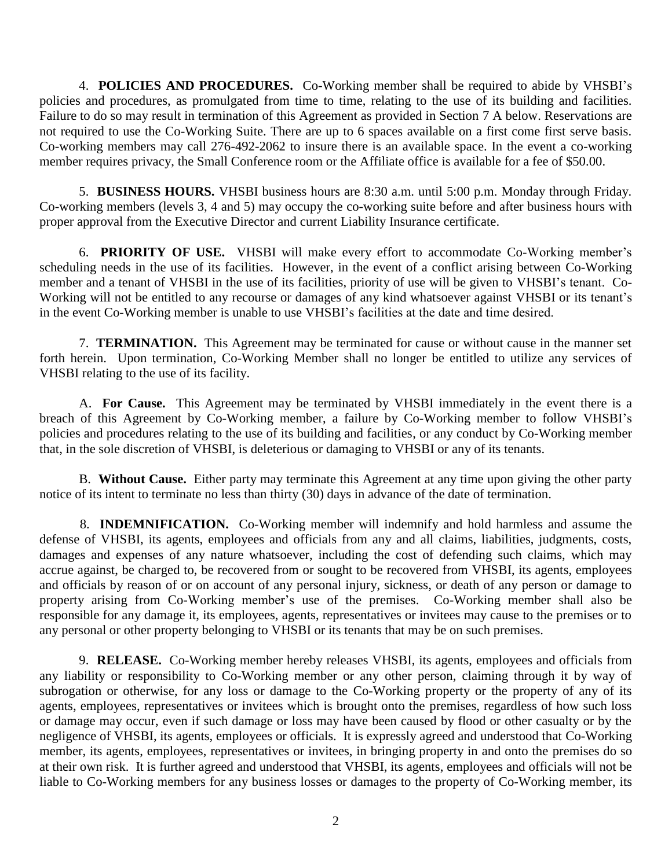4. **POLICIES AND PROCEDURES.** Co-Working member shall be required to abide by VHSBI's policies and procedures, as promulgated from time to time, relating to the use of its building and facilities. Failure to do so may result in termination of this Agreement as provided in Section 7 A below. Reservations are not required to use the Co-Working Suite. There are up to 6 spaces available on a first come first serve basis. Co-working members may call 276-492-2062 to insure there is an available space. In the event a co-working member requires privacy, the Small Conference room or the Affiliate office is available for a fee of \$50.00.

5. **BUSINESS HOURS.** VHSBI business hours are 8:30 a.m. until 5:00 p.m. Monday through Friday. Co-working members (levels 3, 4 and 5) may occupy the co-working suite before and after business hours with proper approval from the Executive Director and current Liability Insurance certificate.

6. **PRIORITY OF USE.** VHSBI will make every effort to accommodate Co-Working member's scheduling needs in the use of its facilities. However, in the event of a conflict arising between Co-Working member and a tenant of VHSBI in the use of its facilities, priority of use will be given to VHSBI's tenant. Co-Working will not be entitled to any recourse or damages of any kind whatsoever against VHSBI or its tenant's in the event Co-Working member is unable to use VHSBI's facilities at the date and time desired.

7. **TERMINATION.** This Agreement may be terminated for cause or without cause in the manner set forth herein. Upon termination, Co-Working Member shall no longer be entitled to utilize any services of VHSBI relating to the use of its facility.

A. **For Cause.** This Agreement may be terminated by VHSBI immediately in the event there is a breach of this Agreement by Co-Working member, a failure by Co-Working member to follow VHSBI's policies and procedures relating to the use of its building and facilities, or any conduct by Co-Working member that, in the sole discretion of VHSBI, is deleterious or damaging to VHSBI or any of its tenants.

B. **Without Cause.** Either party may terminate this Agreement at any time upon giving the other party notice of its intent to terminate no less than thirty (30) days in advance of the date of termination.

8. **INDEMNIFICATION.** Co-Working member will indemnify and hold harmless and assume the defense of VHSBI, its agents, employees and officials from any and all claims, liabilities, judgments, costs, damages and expenses of any nature whatsoever, including the cost of defending such claims, which may accrue against, be charged to, be recovered from or sought to be recovered from VHSBI, its agents, employees and officials by reason of or on account of any personal injury, sickness, or death of any person or damage to property arising from Co-Working member's use of the premises. Co-Working member shall also be responsible for any damage it, its employees, agents, representatives or invitees may cause to the premises or to any personal or other property belonging to VHSBI or its tenants that may be on such premises.

9. **RELEASE.** Co-Working member hereby releases VHSBI, its agents, employees and officials from any liability or responsibility to Co-Working member or any other person, claiming through it by way of subrogation or otherwise, for any loss or damage to the Co-Working property or the property of any of its agents, employees, representatives or invitees which is brought onto the premises, regardless of how such loss or damage may occur, even if such damage or loss may have been caused by flood or other casualty or by the negligence of VHSBI, its agents, employees or officials. It is expressly agreed and understood that Co-Working member, its agents, employees, representatives or invitees, in bringing property in and onto the premises do so at their own risk. It is further agreed and understood that VHSBI, its agents, employees and officials will not be liable to Co-Working members for any business losses or damages to the property of Co-Working member, its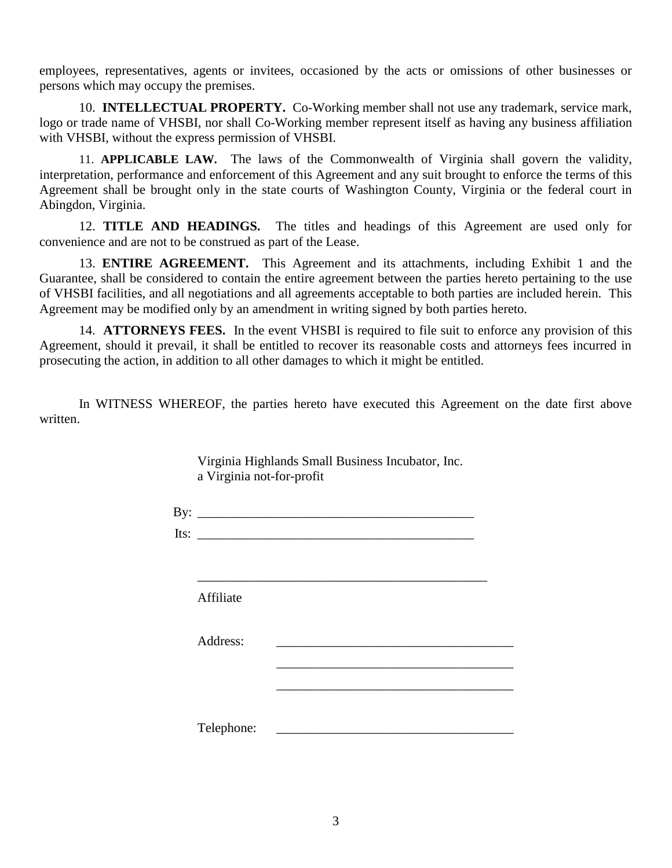employees, representatives, agents or invitees, occasioned by the acts or omissions of other businesses or persons which may occupy the premises.

10. **INTELLECTUAL PROPERTY.** Co-Working member shall not use any trademark, service mark, logo or trade name of VHSBI, nor shall Co-Working member represent itself as having any business affiliation with VHSBI, without the express permission of VHSBI.

11. **APPLICABLE LAW.** The laws of the Commonwealth of Virginia shall govern the validity, interpretation, performance and enforcement of this Agreement and any suit brought to enforce the terms of this Agreement shall be brought only in the state courts of Washington County, Virginia or the federal court in Abingdon, Virginia.

12. **TITLE AND HEADINGS.** The titles and headings of this Agreement are used only for convenience and are not to be construed as part of the Lease.

13. **ENTIRE AGREEMENT.** This Agreement and its attachments, including Exhibit 1 and the Guarantee, shall be considered to contain the entire agreement between the parties hereto pertaining to the use of VHSBI facilities, and all negotiations and all agreements acceptable to both parties are included herein. This Agreement may be modified only by an amendment in writing signed by both parties hereto.

14. **ATTORNEYS FEES.** In the event VHSBI is required to file suit to enforce any provision of this Agreement, should it prevail, it shall be entitled to recover its reasonable costs and attorneys fees incurred in prosecuting the action, in addition to all other damages to which it might be entitled.

In WITNESS WHEREOF, the parties hereto have executed this Agreement on the date first above written.

Virginia Highlands Small Business Incubator, Inc.

|           | By: $\qquad \qquad$                                                                                                                                                                                                                  |  |
|-----------|--------------------------------------------------------------------------------------------------------------------------------------------------------------------------------------------------------------------------------------|--|
|           | Its: $\qquad \qquad$                                                                                                                                                                                                                 |  |
| Affiliate |                                                                                                                                                                                                                                      |  |
|           |                                                                                                                                                                                                                                      |  |
| Address:  | <u>and the state of the state of the state of the state of the state of the state of the state of the state of the state of the state of the state of the state of the state of the state of the state of the state of the state</u> |  |
|           |                                                                                                                                                                                                                                      |  |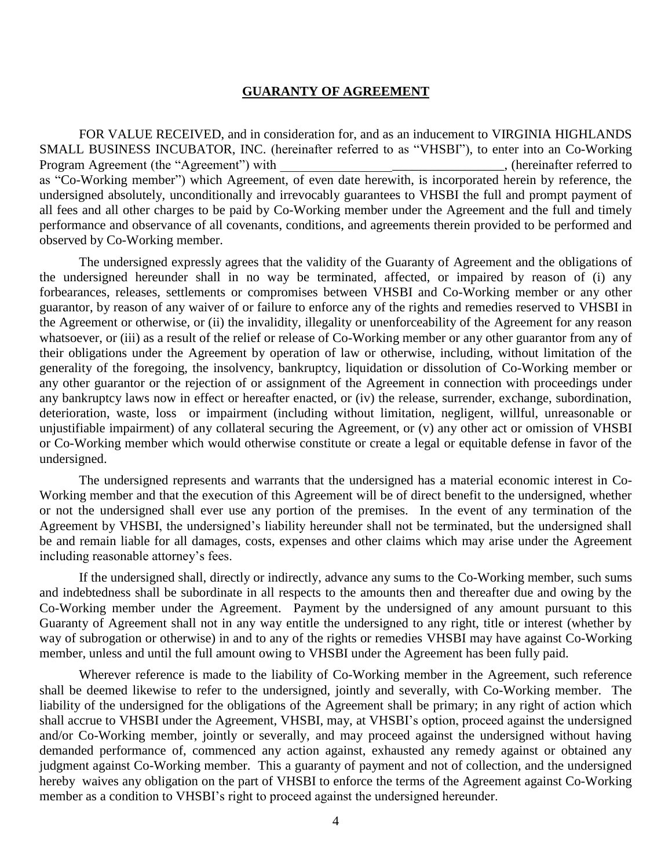#### **GUARANTY OF AGREEMENT**

FOR VALUE RECEIVED, and in consideration for, and as an inducement to VIRGINIA HIGHLANDS SMALL BUSINESS INCUBATOR, INC. (hereinafter referred to as "VHSBI"), to enter into an Co-Working Program Agreement (the "Agreement") with \_\_\_\_\_\_\_\_\_\_\_\_\_\_\_\_\_\_\_\_\_\_\_\_\_\_\_\_\_, (hereinafter referred to as "Co-Working member") which Agreement, of even date herewith, is incorporated herein by reference, the undersigned absolutely, unconditionally and irrevocably guarantees to VHSBI the full and prompt payment of all fees and all other charges to be paid by Co-Working member under the Agreement and the full and timely performance and observance of all covenants, conditions, and agreements therein provided to be performed and observed by Co-Working member.

The undersigned expressly agrees that the validity of the Guaranty of Agreement and the obligations of the undersigned hereunder shall in no way be terminated, affected, or impaired by reason of (i) any forbearances, releases, settlements or compromises between VHSBI and Co-Working member or any other guarantor, by reason of any waiver of or failure to enforce any of the rights and remedies reserved to VHSBI in the Agreement or otherwise, or (ii) the invalidity, illegality or unenforceability of the Agreement for any reason whatsoever, or (iii) as a result of the relief or release of Co-Working member or any other guarantor from any of their obligations under the Agreement by operation of law or otherwise, including, without limitation of the generality of the foregoing, the insolvency, bankruptcy, liquidation or dissolution of Co-Working member or any other guarantor or the rejection of or assignment of the Agreement in connection with proceedings under any bankruptcy laws now in effect or hereafter enacted, or (iv) the release, surrender, exchange, subordination, deterioration, waste, loss or impairment (including without limitation, negligent, willful, unreasonable or unjustifiable impairment) of any collateral securing the Agreement, or (v) any other act or omission of VHSBI or Co-Working member which would otherwise constitute or create a legal or equitable defense in favor of the undersigned.

The undersigned represents and warrants that the undersigned has a material economic interest in Co-Working member and that the execution of this Agreement will be of direct benefit to the undersigned, whether or not the undersigned shall ever use any portion of the premises. In the event of any termination of the Agreement by VHSBI, the undersigned's liability hereunder shall not be terminated, but the undersigned shall be and remain liable for all damages, costs, expenses and other claims which may arise under the Agreement including reasonable attorney's fees.

If the undersigned shall, directly or indirectly, advance any sums to the Co-Working member, such sums and indebtedness shall be subordinate in all respects to the amounts then and thereafter due and owing by the Co-Working member under the Agreement. Payment by the undersigned of any amount pursuant to this Guaranty of Agreement shall not in any way entitle the undersigned to any right, title or interest (whether by way of subrogation or otherwise) in and to any of the rights or remedies VHSBI may have against Co-Working member, unless and until the full amount owing to VHSBI under the Agreement has been fully paid.

Wherever reference is made to the liability of Co-Working member in the Agreement, such reference shall be deemed likewise to refer to the undersigned, jointly and severally, with Co-Working member. The liability of the undersigned for the obligations of the Agreement shall be primary; in any right of action which shall accrue to VHSBI under the Agreement, VHSBI, may, at VHSBI's option, proceed against the undersigned and/or Co-Working member, jointly or severally, and may proceed against the undersigned without having demanded performance of, commenced any action against, exhausted any remedy against or obtained any judgment against Co-Working member. This a guaranty of payment and not of collection, and the undersigned hereby waives any obligation on the part of VHSBI to enforce the terms of the Agreement against Co-Working member as a condition to VHSBI's right to proceed against the undersigned hereunder.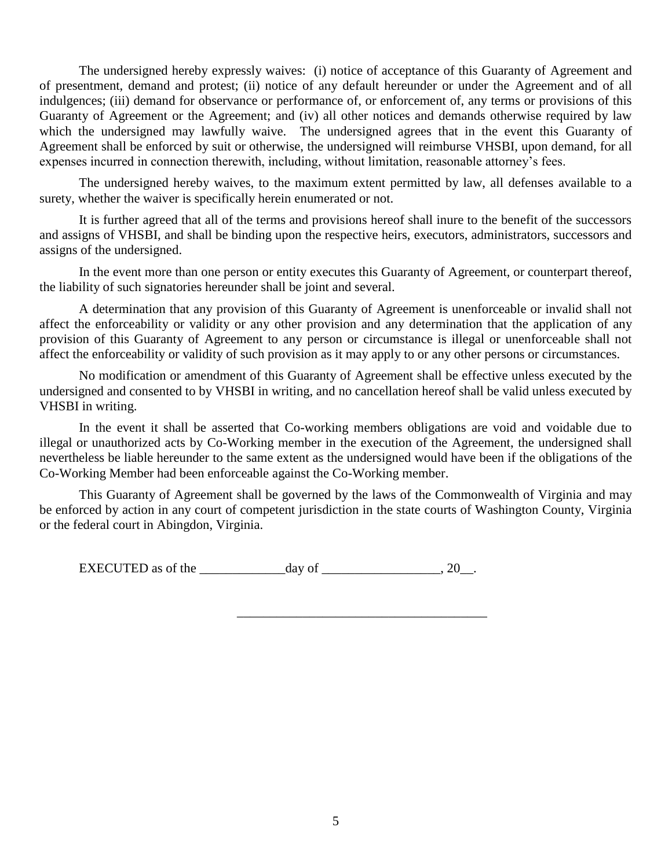The undersigned hereby expressly waives: (i) notice of acceptance of this Guaranty of Agreement and of presentment, demand and protest; (ii) notice of any default hereunder or under the Agreement and of all indulgences; (iii) demand for observance or performance of, or enforcement of, any terms or provisions of this Guaranty of Agreement or the Agreement; and (iv) all other notices and demands otherwise required by law which the undersigned may lawfully waive. The undersigned agrees that in the event this Guaranty of Agreement shall be enforced by suit or otherwise, the undersigned will reimburse VHSBI, upon demand, for all expenses incurred in connection therewith, including, without limitation, reasonable attorney's fees.

The undersigned hereby waives, to the maximum extent permitted by law, all defenses available to a surety, whether the waiver is specifically herein enumerated or not.

It is further agreed that all of the terms and provisions hereof shall inure to the benefit of the successors and assigns of VHSBI, and shall be binding upon the respective heirs, executors, administrators, successors and assigns of the undersigned.

In the event more than one person or entity executes this Guaranty of Agreement, or counterpart thereof, the liability of such signatories hereunder shall be joint and several.

A determination that any provision of this Guaranty of Agreement is unenforceable or invalid shall not affect the enforceability or validity or any other provision and any determination that the application of any provision of this Guaranty of Agreement to any person or circumstance is illegal or unenforceable shall not affect the enforceability or validity of such provision as it may apply to or any other persons or circumstances.

No modification or amendment of this Guaranty of Agreement shall be effective unless executed by the undersigned and consented to by VHSBI in writing, and no cancellation hereof shall be valid unless executed by VHSBI in writing.

In the event it shall be asserted that Co-working members obligations are void and voidable due to illegal or unauthorized acts by Co-Working member in the execution of the Agreement, the undersigned shall nevertheless be liable hereunder to the same extent as the undersigned would have been if the obligations of the Co-Working Member had been enforceable against the Co-Working member.

This Guaranty of Agreement shall be governed by the laws of the Commonwealth of Virginia and may be enforced by action in any court of competent jurisdiction in the state courts of Washington County, Virginia or the federal court in Abingdon, Virginia.

\_\_\_\_\_\_\_\_\_\_\_\_\_\_\_\_\_\_\_\_\_\_\_\_\_\_\_\_\_\_\_\_\_\_\_\_\_\_

EXECUTED as of the  $\frac{day}{}$  of  $\frac{1}{20}$ .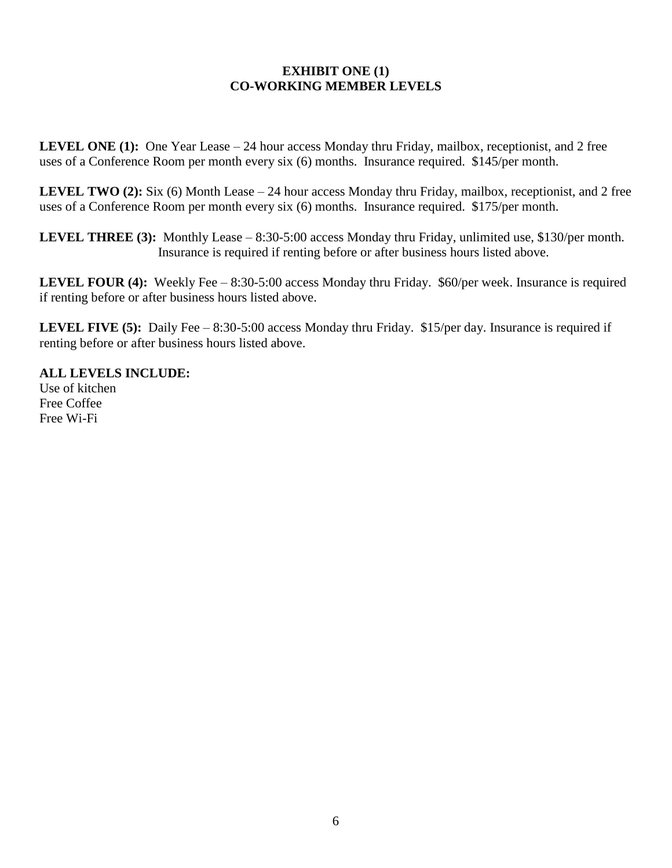#### **EXHIBIT ONE (1) CO-WORKING MEMBER LEVELS**

**LEVEL ONE (1):** One Year Lease – 24 hour access Monday thru Friday, mailbox, receptionist, and 2 free uses of a Conference Room per month every six (6) months. Insurance required. \$145/per month.

**LEVEL TWO (2):** Six (6) Month Lease – 24 hour access Monday thru Friday, mailbox, receptionist, and 2 free uses of a Conference Room per month every six (6) months. Insurance required. \$175/per month.

**LEVEL THREE (3):** Monthly Lease – 8:30-5:00 access Monday thru Friday, unlimited use, \$130/per month. Insurance is required if renting before or after business hours listed above.

**LEVEL FOUR (4):** Weekly Fee – 8:30-5:00 access Monday thru Friday. \$60/per week. Insurance is required if renting before or after business hours listed above.

**LEVEL FIVE (5):** Daily Fee – 8:30-5:00 access Monday thru Friday. \$15/per day. Insurance is required if renting before or after business hours listed above.

**ALL LEVELS INCLUDE:** Use of kitchen Free Coffee Free Wi-Fi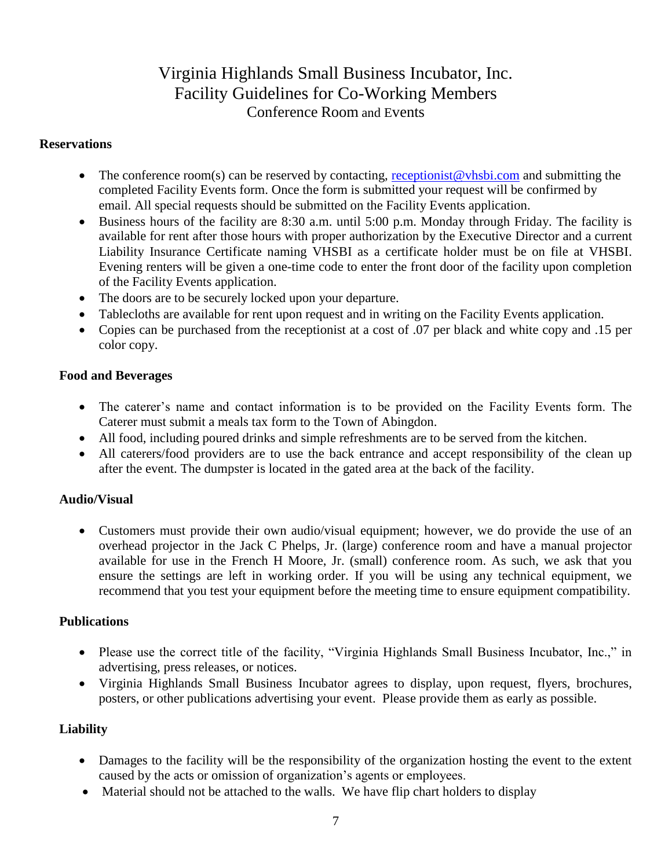# Virginia Highlands Small Business Incubator, Inc. Facility Guidelines for Co-Working Members Conference Room and Events

### **Reservations**

- The conference room(s) can be reserved by contacting, [receptionist@vhsbi.com](mailto:receptionist@vhsbi.com) and submitting the completed Facility Events form. Once the form is submitted your request will be confirmed by email. All special requests should be submitted on the Facility Events application.
- Business hours of the facility are 8:30 a.m. until 5:00 p.m. Monday through Friday. The facility is available for rent after those hours with proper authorization by the Executive Director and a current Liability Insurance Certificate naming VHSBI as a certificate holder must be on file at VHSBI. Evening renters will be given a one-time code to enter the front door of the facility upon completion of the Facility Events application.
- The doors are to be securely locked upon your departure.
- Tablecloths are available for rent upon request and in writing on the Facility Events application.
- Copies can be purchased from the receptionist at a cost of .07 per black and white copy and .15 per color copy.

# **Food and Beverages**

- The caterer's name and contact information is to be provided on the Facility Events form. The Caterer must submit a meals tax form to the Town of Abingdon.
- All food, including poured drinks and simple refreshments are to be served from the kitchen.
- All caterers/food providers are to use the back entrance and accept responsibility of the clean up after the event. The dumpster is located in the gated area at the back of the facility.

# **Audio/Visual**

 Customers must provide their own audio/visual equipment; however, we do provide the use of an overhead projector in the Jack C Phelps, Jr. (large) conference room and have a manual projector available for use in the French H Moore, Jr. (small) conference room. As such, we ask that you ensure the settings are left in working order. If you will be using any technical equipment, we recommend that you test your equipment before the meeting time to ensure equipment compatibility.

# **Publications**

- Please use the correct title of the facility, "Virginia Highlands Small Business Incubator, Inc.," in advertising, press releases, or notices.
- Virginia Highlands Small Business Incubator agrees to display, upon request, flyers, brochures, posters, or other publications advertising your event. Please provide them as early as possible.

# **Liability**

- Damages to the facility will be the responsibility of the organization hosting the event to the extent caused by the acts or omission of organization's agents or employees.
- Material should not be attached to the walls. We have flip chart holders to display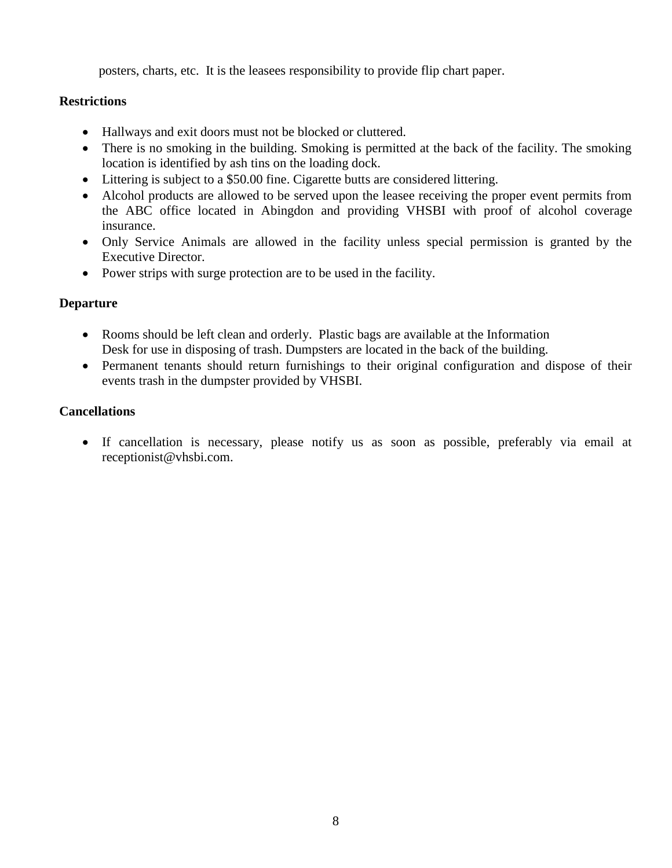posters, charts, etc. It is the leasees responsibility to provide flip chart paper.

# **Restrictions**

- Hallways and exit doors must not be blocked or cluttered.
- There is no smoking in the building. Smoking is permitted at the back of the facility. The smoking location is identified by ash tins on the loading dock.
- Littering is subject to a \$50.00 fine. Cigarette butts are considered littering.
- Alcohol products are allowed to be served upon the leasee receiving the proper event permits from the ABC office located in Abingdon and providing VHSBI with proof of alcohol coverage insurance.
- Only Service Animals are allowed in the facility unless special permission is granted by the Executive Director.
- Power strips with surge protection are to be used in the facility.

# **Departure**

- Rooms should be left clean and orderly. Plastic bags are available at the Information Desk for use in disposing of trash. Dumpsters are located in the back of the building.
- Permanent tenants should return furnishings to their original configuration and dispose of their events trash in the dumpster provided by VHSBI.

# **Cancellations**

 If cancellation is necessary, please notify us as soon as possible, preferably via email at receptionist@vhsbi.com.